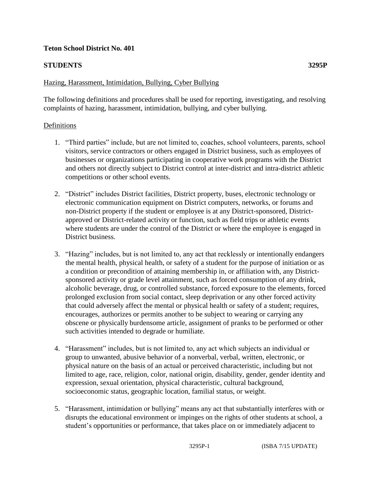## **Teton School District No. 401**

## **STUDENTS 3295P**

## Hazing, Harassment, Intimidation, Bullying, Cyber Bullying

The following definitions and procedures shall be used for reporting, investigating, and resolving complaints of hazing, harassment, intimidation, bullying, and cyber bullying.

#### Definitions

- 1. "Third parties" include, but are not limited to, coaches, school volunteers, parents, school visitors, service contractors or others engaged in District business, such as employees of businesses or organizations participating in cooperative work programs with the District and others not directly subject to District control at inter-district and intra-district athletic competitions or other school events.
- 2. "District" includes District facilities, District property, buses, electronic technology or electronic communication equipment on District computers, networks, or forums and non-District property if the student or employee is at any District-sponsored, Districtapproved or District-related activity or function, such as field trips or athletic events where students are under the control of the District or where the employee is engaged in District business.
- 3. "Hazing" includes, but is not limited to, any act that recklessly or intentionally endangers the mental health, physical health, or safety of a student for the purpose of initiation or as a condition or precondition of attaining membership in, or affiliation with, any Districtsponsored activity or grade level attainment, such as forced consumption of any drink, alcoholic beverage, drug, or controlled substance, forced exposure to the elements, forced prolonged exclusion from social contact, sleep deprivation or any other forced activity that could adversely affect the mental or physical health or safety of a student; requires, encourages, authorizes or permits another to be subject to wearing or carrying any obscene or physically burdensome article, assignment of pranks to be performed or other such activities intended to degrade or humiliate.
- 4. "Harassment" includes, but is not limited to, any act which subjects an individual or group to unwanted, abusive behavior of a nonverbal, verbal, written, electronic, or physical nature on the basis of an actual or perceived characteristic, including but not limited to age, race, religion, color, national origin, disability, gender, gender identity and expression, sexual orientation, physical characteristic, cultural background, socioeconomic status, geographic location, familial status, or weight.
- 5. "Harassment, intimidation or bullying" means any act that substantially interferes with or disrupts the educational environment or impinges on the rights of other students at school, a student's opportunities or performance, that takes place on or immediately adjacent to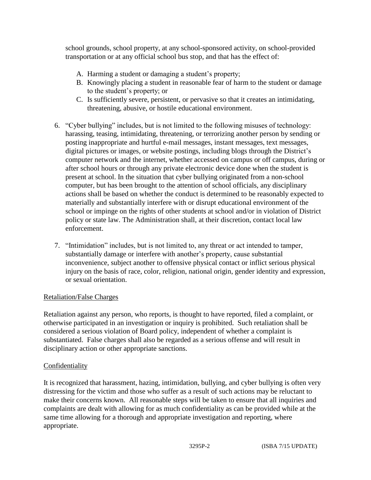school grounds, school property, at any school-sponsored activity, on school-provided transportation or at any official school bus stop, and that has the effect of:

- A. Harming a student or damaging a student's property;
- B. Knowingly placing a student in reasonable fear of harm to the student or damage to the student's property; or
- C. Is sufficiently severe, persistent, or pervasive so that it creates an intimidating, threatening, abusive, or hostile educational environment.
- 6. "Cyber bullying" includes, but is not limited to the following misuses of technology: harassing, teasing, intimidating, threatening, or terrorizing another person by sending or posting inappropriate and hurtful e-mail messages, instant messages, text messages, digital pictures or images, or website postings, including blogs through the District's computer network and the internet, whether accessed on campus or off campus, during or after school hours or through any private electronic device done when the student is present at school. In the situation that cyber bullying originated from a non-school computer, but has been brought to the attention of school officials, any disciplinary actions shall be based on whether the conduct is determined to be reasonably expected to materially and substantially interfere with or disrupt educational environment of the school or impinge on the rights of other students at school and/or in violation of District policy or state law. The Administration shall, at their discretion, contact local law enforcement.
- 7. "Intimidation" includes, but is not limited to, any threat or act intended to tamper, substantially damage or interfere with another's property, cause substantial inconvenience, subject another to offensive physical contact or inflict serious physical injury on the basis of race, color, religion, national origin, gender identity and expression, or sexual orientation.

# Retaliation/False Charges

Retaliation against any person, who reports, is thought to have reported, filed a complaint, or otherwise participated in an investigation or inquiry is prohibited. Such retaliation shall be considered a serious violation of Board policy, independent of whether a complaint is substantiated. False charges shall also be regarded as a serious offense and will result in disciplinary action or other appropriate sanctions.

# Confidentiality

It is recognized that harassment, hazing, intimidation, bullying, and cyber bullying is often very distressing for the victim and those who suffer as a result of such actions may be reluctant to make their concerns known. All reasonable steps will be taken to ensure that all inquiries and complaints are dealt with allowing for as much confidentiality as can be provided while at the same time allowing for a thorough and appropriate investigation and reporting, where appropriate.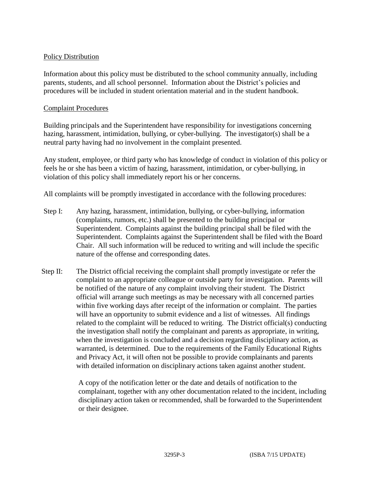## Policy Distribution

Information about this policy must be distributed to the school community annually, including parents, students, and all school personnel. Information about the District's policies and procedures will be included in student orientation material and in the student handbook.

#### Complaint Procedures

Building principals and the Superintendent have responsibility for investigations concerning hazing, harassment, intimidation, bullying, or cyber-bullying. The investigator(s) shall be a neutral party having had no involvement in the complaint presented.

Any student, employee, or third party who has knowledge of conduct in violation of this policy or feels he or she has been a victim of hazing, harassment, intimidation, or cyber-bullying, in violation of this policy shall immediately report his or her concerns.

All complaints will be promptly investigated in accordance with the following procedures:

- Step I: Any hazing, harassment, intimidation, bullying, or cyber-bullying, information (complaints, rumors, etc.) shall be presented to the building principal or Superintendent. Complaints against the building principal shall be filed with the Superintendent. Complaints against the Superintendent shall be filed with the Board Chair. All such information will be reduced to writing and will include the specific nature of the offense and corresponding dates.
- Step II: The District official receiving the complaint shall promptly investigate or refer the complaint to an appropriate colleague or outside party for investigation. Parents will be notified of the nature of any complaint involving their student. The District official will arrange such meetings as may be necessary with all concerned parties within five working days after receipt of the information or complaint. The parties will have an opportunity to submit evidence and a list of witnesses. All findings related to the complaint will be reduced to writing. The District official(s) conducting the investigation shall notify the complainant and parents as appropriate, in writing, when the investigation is concluded and a decision regarding disciplinary action, as warranted, is determined. Due to the requirements of the Family Educational Rights and Privacy Act, it will often not be possible to provide complainants and parents with detailed information on disciplinary actions taken against another student.

A copy of the notification letter or the date and details of notification to the complainant, together with any other documentation related to the incident, including disciplinary action taken or recommended, shall be forwarded to the Superintendent or their designee.